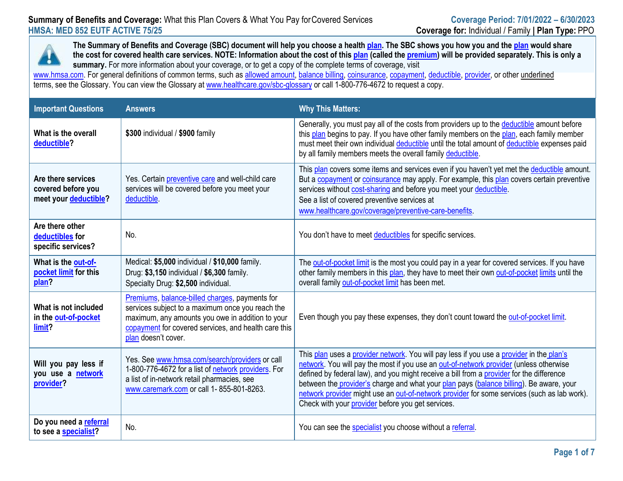

 **the cost for covered health care services. NOTE: Information about the cost of this [plan \(](https://www.healthcare.gov/sbc-glossary/#plan)called th[e premium\)](https://www.healthcare.gov/sbc-glossary/#premium) will be provided separately. This is only a summary.** For more information about your coverage, or to get a copy of the complete terms of coverage, visit **The Summary of Benefits and Coverage (SBC) document will help you choose a healt[h plan. T](https://www.healthcare.gov/sbc-glossary/#plan)he SBC shows you how you and the [plan](https://www.healthcare.gov/sbc-glossary/#plan) would share** 

[www.hmsa.com. F](http://www.hmsa.com/)or general definitions of common terms, such as <u>allowed amount, [balance billing,](https://www.healthcare.gov/sbc-glossary/#balance-billing) [coinsurance,](https://www.healthcare.gov/sbc-glossary/#coinsurance) [copayment,](https://www.healthcare.gov/sbc-glossary/#copayment) [deductible,](https://www.healthcare.gov/sbc-glossary/#deductible) provider</u>, or other <u>underlined</u> terms, see the Glossary. You can view the Glossary at <u>www.healthcare.gov/sbc-glossary</u> or call 1-800-776-4672 to request a copy.

| <b>Important Questions</b>                                        | <b>Answers</b>                                                                                                                                                                                                                        | <b>Why This Matters:</b>                                                                                                                                                                                                                                                                                                                                                                                                                                                                                                      |
|-------------------------------------------------------------------|---------------------------------------------------------------------------------------------------------------------------------------------------------------------------------------------------------------------------------------|-------------------------------------------------------------------------------------------------------------------------------------------------------------------------------------------------------------------------------------------------------------------------------------------------------------------------------------------------------------------------------------------------------------------------------------------------------------------------------------------------------------------------------|
| What is the overall<br>deductible?                                | \$300 individual / \$900 family                                                                                                                                                                                                       | Generally, you must pay all of the costs from providers up to the deductible amount before<br>this plan begins to pay. If you have other family members on the plan, each family member<br>must meet their own individual deductible until the total amount of deductible expenses paid<br>by all family members meets the overall family deductible.                                                                                                                                                                         |
| Are there services<br>covered before you<br>meet your deductible? | Yes. Certain preventive care and well-child care<br>services will be covered before you meet your<br>deductible.                                                                                                                      | This plan covers some items and services even if you haven't yet met the deductible amount.<br>But a copayment or coinsurance may apply. For example, this plan covers certain preventive<br>services without cost-sharing and before you meet your deductible.<br>See a list of covered preventive services at<br>www.healthcare.gov/coverage/preventive-care-benefits.                                                                                                                                                      |
| Are there other<br>deductibles for<br>specific services?          | No.                                                                                                                                                                                                                                   | You don't have to meet deductibles for specific services.                                                                                                                                                                                                                                                                                                                                                                                                                                                                     |
| What is the out-of-<br>pocket limit for this<br>plan?             | Medical: \$5,000 individual / \$10,000 family.<br>Drug: \$3,150 individual / \$6,300 family.<br>Specialty Drug: \$2,500 individual.                                                                                                   | The out-of-pocket limit is the most you could pay in a year for covered services. If you have<br>other family members in this plan, they have to meet their own out-of-pocket limits until the<br>overall family out-of-pocket limit has been met.                                                                                                                                                                                                                                                                            |
| What is not included<br>in the out-of-pocket<br>limit?            | Premiums, balance-billed charges, payments for<br>services subject to a maximum once you reach the<br>maximum, any amounts you owe in addition to your<br>copayment for covered services, and health care this<br>plan doesn't cover. | Even though you pay these expenses, they don't count toward the out-of-pocket limit.                                                                                                                                                                                                                                                                                                                                                                                                                                          |
| Will you pay less if<br>you use a network<br>provider?            | Yes. See www.hmsa.com/search/providers or call<br>1-800-776-4672 for a list of network providers. For<br>a list of in-network retail pharmacies, see<br>www.caremark.com or call 1-855-801-8263.                                      | This plan uses a provider network. You will pay less if you use a provider in the plan's<br>network. You will pay the most if you use an out-of-network provider (unless otherwise<br>defined by federal law), and you might receive a bill from a provider for the difference<br>between the provider's charge and what your plan pays (balance billing). Be aware, your<br>network provider might use an out-of-network provider for some services (such as lab work).<br>Check with your provider before you get services. |
| Do you need a referral<br>to see a specialist?                    | No.                                                                                                                                                                                                                                   | You can see the specialist you choose without a referral.                                                                                                                                                                                                                                                                                                                                                                                                                                                                     |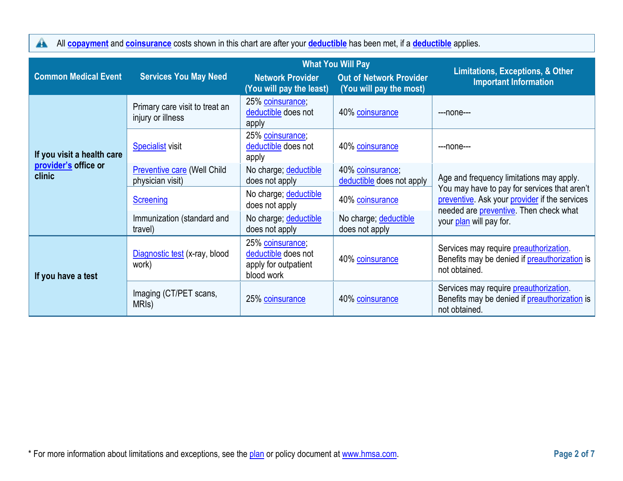All **[copayment](https://www.healthcare.gov/sbc-glossary/#copayment)** and **[coinsurance](https://www.healthcare.gov/sbc-glossary/#coinsurance)** costs shown in this chart are after your **[deductible](https://www.healthcare.gov/sbc-glossary/#deductible)** has been met, if a **[deductible](https://www.healthcare.gov/sbc-glossary/#deductible)** applies.

|                                |                                                        |                                                                               | <b>What You Will Pay</b>                                  | <b>Limitations, Exceptions, &amp; Other</b>                                                                                             |  |
|--------------------------------|--------------------------------------------------------|-------------------------------------------------------------------------------|-----------------------------------------------------------|-----------------------------------------------------------------------------------------------------------------------------------------|--|
| <b>Common Medical Event</b>    | <b>Services You May Need</b>                           | <b>Network Provider</b><br>(You will pay the least)                           | <b>Out of Network Provider</b><br>(You will pay the most) | <b>Important Information</b>                                                                                                            |  |
|                                | Primary care visit to treat an<br>injury or illness    | 25% coinsurance;<br>deductible does not<br>apply                              | 40% coinsurance                                           | $---none---$                                                                                                                            |  |
| If you visit a health care     | <b>Specialist visit</b>                                | 25% coinsurance;<br>deductible does not<br>apply                              | 40% coinsurance                                           | ---none---                                                                                                                              |  |
| provider's office or<br>clinic | <b>Preventive care (Well Child</b><br>physician visit) | No charge; deductible<br>does not apply                                       | 40% coinsurance;<br>deductible does not apply             | Age and frequency limitations may apply.                                                                                                |  |
|                                | <b>Screening</b>                                       | No charge; deductible<br>does not apply                                       | 40% coinsurance                                           | You may have to pay for services that aren't<br>preventive. Ask your provider if the services<br>needed are preventive. Then check what |  |
|                                | Immunization (standard and<br>travel)                  | No charge; deductible<br>does not apply                                       | No charge; deductible<br>does not apply                   | your plan will pay for.                                                                                                                 |  |
| If you have a test             | Diagnostic test (x-ray, blood<br>work)                 | 25% coinsurance;<br>deductible does not<br>apply for outpatient<br>blood work | 40% coinsurance                                           | Services may require preauthorization.<br>Benefits may be denied if preauthorization is<br>not obtained.                                |  |
|                                | Imaging (CT/PET scans,<br>MRI <sub>s</sub> )           | 25% coinsurance                                                               | 40% coinsurance                                           | Services may require preauthorization.<br>Benefits may be denied if preauthorization is<br>not obtained.                                |  |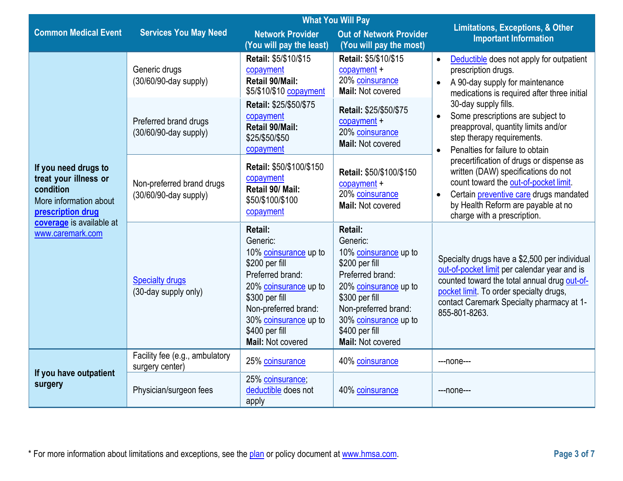| <b>What You Will Pay</b>                                                                                                                                  |                                                    |                                                                                                                                                                                                                              |                                                                                                                                                                                                                              | <b>Limitations, Exceptions, &amp; Other</b>                                                                                                                                                                                                            |  |
|-----------------------------------------------------------------------------------------------------------------------------------------------------------|----------------------------------------------------|------------------------------------------------------------------------------------------------------------------------------------------------------------------------------------------------------------------------------|------------------------------------------------------------------------------------------------------------------------------------------------------------------------------------------------------------------------------|--------------------------------------------------------------------------------------------------------------------------------------------------------------------------------------------------------------------------------------------------------|--|
| <b>Common Medical Event</b>                                                                                                                               | <b>Services You May Need</b>                       | <b>Network Provider</b><br>(You will pay the least)                                                                                                                                                                          | <b>Out of Network Provider</b><br>(You will pay the most)                                                                                                                                                                    | <b>Important Information</b>                                                                                                                                                                                                                           |  |
| If you need drugs to<br>treat your illness or<br>condition<br>More information about<br>prescription drug<br>coverage is available at<br>www.caremark.com | Generic drugs<br>(30/60/90-day supply)             | Retail: \$5/\$10/\$15<br>copayment<br>Retail 90/Mail:<br>\$5/\$10/\$10 copayment                                                                                                                                             | Retail: \$5/\$10/\$15<br>$copayment +$<br>20% coinsurance<br>Mail: Not covered                                                                                                                                               | Deductible does not apply for outpatient<br>$\bullet$<br>prescription drugs.<br>A 90-day supply for maintenance<br>medications is required after three initial                                                                                         |  |
|                                                                                                                                                           | Preferred brand drugs<br>(30/60/90-day supply)     | Retail: \$25/\$50/\$75<br>copayment<br>Retail 90/Mail:<br>\$25/\$50/\$50<br>copayment                                                                                                                                        | Retail: \$25/\$50/\$75<br>$copayment +$<br>20% coinsurance<br>Mail: Not covered                                                                                                                                              | 30-day supply fills.<br>Some prescriptions are subject to<br>preapproval, quantity limits and/or<br>step therapy requirements.<br>Penalties for failure to obtain<br>$\bullet$                                                                         |  |
|                                                                                                                                                           | Non-preferred brand drugs<br>(30/60/90-day supply) | Retail: \$50/\$100/\$150<br>copayment<br>Retail 90/ Mail:<br>\$50/\$100/\$100<br>copayment                                                                                                                                   | Retail: \$50/\$100/\$150<br>copayment +<br>20% coinsurance<br>Mail: Not covered                                                                                                                                              | precertification of drugs or dispense as<br>written (DAW) specifications do not<br>count toward the out-of-pocket limit.<br>Certain preventive care drugs mandated<br>by Health Reform are payable at no<br>charge with a prescription.                |  |
|                                                                                                                                                           | <b>Specialty drugs</b><br>(30-day supply only)     | <b>Retail:</b><br>Generic:<br>10% coinsurance up to<br>\$200 per fill<br>Preferred brand:<br>20% coinsurance up to<br>\$300 per fill<br>Non-preferred brand:<br>30% coinsurance up to<br>\$400 per fill<br>Mail: Not covered | <b>Retail:</b><br>Generic:<br>10% coinsurance up to<br>\$200 per fill<br>Preferred brand:<br>20% coinsurance up to<br>\$300 per fill<br>Non-preferred brand:<br>30% coinsurance up to<br>\$400 per fill<br>Mail: Not covered | Specialty drugs have a \$2,500 per individual<br>out-of-pocket limit per calendar year and is<br>counted toward the total annual drug out-of-<br>pocket limit. To order specialty drugs,<br>contact Caremark Specialty pharmacy at 1-<br>855-801-8263. |  |
|                                                                                                                                                           | Facility fee (e.g., ambulatory<br>surgery center)  | 25% coinsurance                                                                                                                                                                                                              | 40% coinsurance                                                                                                                                                                                                              | ---none---                                                                                                                                                                                                                                             |  |
| If you have outpatient<br>surgery                                                                                                                         | Physician/surgeon fees                             | 25% coinsurance;<br>deductible does not<br>apply                                                                                                                                                                             | 40% coinsurance                                                                                                                                                                                                              | ---none---                                                                                                                                                                                                                                             |  |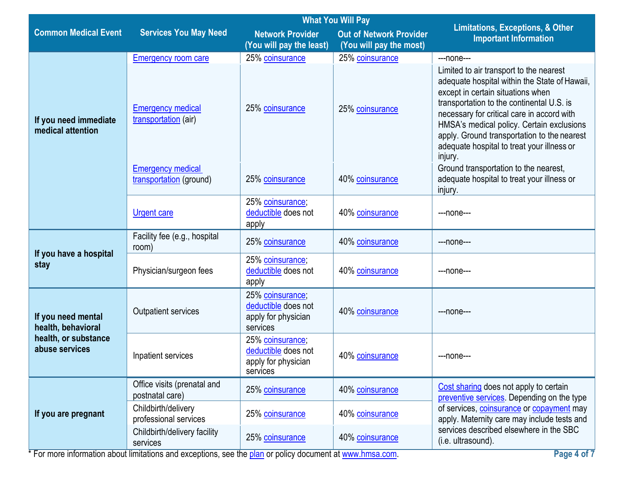| <b>What You Will Pay</b>                   |                                                     |                                                                                                                  |                 | <b>Limitations, Exceptions, &amp; Other</b>                                                                                                                                                                                                                                                                                                                                   |  |
|--------------------------------------------|-----------------------------------------------------|------------------------------------------------------------------------------------------------------------------|-----------------|-------------------------------------------------------------------------------------------------------------------------------------------------------------------------------------------------------------------------------------------------------------------------------------------------------------------------------------------------------------------------------|--|
| <b>Common Medical Event</b>                | <b>Services You May Need</b>                        | <b>Network Provider</b><br><b>Out of Network Provider</b><br>(You will pay the most)<br>(You will pay the least) |                 | <b>Important Information</b>                                                                                                                                                                                                                                                                                                                                                  |  |
|                                            | <b>Emergency room care</b>                          | 25% coinsurance                                                                                                  | 25% coinsurance | ---none---                                                                                                                                                                                                                                                                                                                                                                    |  |
| If you need immediate<br>medical attention | <b>Emergency medical</b><br>transportation (air)    | 25% coinsurance                                                                                                  | 25% coinsurance | Limited to air transport to the nearest<br>adequate hospital within the State of Hawaii,<br>except in certain situations when<br>transportation to the continental U.S. is<br>necessary for critical care in accord with<br>HMSA's medical policy. Certain exclusions<br>apply. Ground transportation to the nearest<br>adequate hospital to treat your illness or<br>injury. |  |
|                                            | <b>Emergency medical</b><br>transportation (ground) | 25% coinsurance                                                                                                  | 40% coinsurance | Ground transportation to the nearest,<br>adequate hospital to treat your illness or<br>injury.                                                                                                                                                                                                                                                                                |  |
|                                            | <b>Urgent care</b>                                  | 25% coinsurance;<br>deductible does not<br>apply                                                                 | 40% coinsurance | ---none---                                                                                                                                                                                                                                                                                                                                                                    |  |
|                                            | Facility fee (e.g., hospital<br>room)               | 25% coinsurance                                                                                                  | 40% coinsurance | ---none---                                                                                                                                                                                                                                                                                                                                                                    |  |
| If you have a hospital<br>stay             | Physician/surgeon fees                              | 25% coinsurance;<br>deductible does not<br>apply                                                                 | 40% coinsurance | ---none---                                                                                                                                                                                                                                                                                                                                                                    |  |
| If you need mental<br>health, behavioral   | <b>Outpatient services</b>                          | 25% coinsurance;<br>deductible does not<br>apply for physician<br>services                                       | 40% coinsurance | ---none---                                                                                                                                                                                                                                                                                                                                                                    |  |
| health, or substance<br>abuse services     | Inpatient services                                  | 25% coinsurance;<br>deductible does not<br>apply for physician<br>services                                       | 40% coinsurance | ---none---                                                                                                                                                                                                                                                                                                                                                                    |  |
|                                            | Office visits (prenatal and<br>postnatal care)      | 25% coinsurance                                                                                                  | 40% coinsurance | Cost sharing does not apply to certain<br>preventive services. Depending on the type                                                                                                                                                                                                                                                                                          |  |
| If you are pregnant                        | Childbirth/delivery<br>professional services        | 25% coinsurance                                                                                                  | 40% coinsurance | of services, coinsurance or copayment may<br>apply. Maternity care may include tests and                                                                                                                                                                                                                                                                                      |  |
|                                            | Childbirth/delivery facility<br>services            | 25% coinsurance                                                                                                  | 40% coinsurance | services described elsewhere in the SBC<br>(i.e. ultrasound).                                                                                                                                                                                                                                                                                                                 |  |
|                                            |                                                     |                                                                                                                  |                 |                                                                                                                                                                                                                                                                                                                                                                               |  |

\* For more information about limitations and exceptions, see the [plan o](https://www.healthcare.gov/sbc-glossary/#plan)r policy document at [www.hmsa.com.](http://www.hmsa.com/) **Page 4 of 7 Page 4 of 7**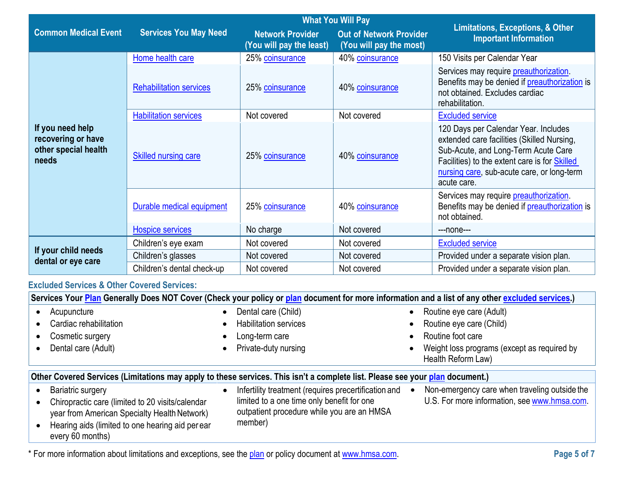|                                                                         |                                |                                                     | <b>What You Will Pay</b>                                  | <b>Limitations, Exceptions, &amp; Other</b>                                                                                                                                                                                             |  |
|-------------------------------------------------------------------------|--------------------------------|-----------------------------------------------------|-----------------------------------------------------------|-----------------------------------------------------------------------------------------------------------------------------------------------------------------------------------------------------------------------------------------|--|
| <b>Common Medical Event</b>                                             | <b>Services You May Need</b>   | <b>Network Provider</b><br>(You will pay the least) | <b>Out of Network Provider</b><br>(You will pay the most) | <b>Important Information</b>                                                                                                                                                                                                            |  |
|                                                                         | Home health care               | 25% coinsurance                                     | 40% coinsurance                                           | 150 Visits per Calendar Year                                                                                                                                                                                                            |  |
|                                                                         | <b>Rehabilitation services</b> | 25% coinsurance                                     | 40% coinsurance                                           | Services may require <i>preauthorization</i> .<br>Benefits may be denied if preauthorization is<br>not obtained. Excludes cardiac<br>rehabilitation.                                                                                    |  |
|                                                                         | <b>Habilitation services</b>   | Not covered                                         | Not covered                                               | <b>Excluded service</b>                                                                                                                                                                                                                 |  |
| If you need help<br>recovering or have<br>other special health<br>needs | <b>Skilled nursing care</b>    | 25% coinsurance                                     | 40% coinsurance                                           | 120 Days per Calendar Year. Includes<br>extended care facilities (Skilled Nursing,<br>Sub-Acute, and Long-Term Acute Care<br>Facilities) to the extent care is for Skilled<br>nursing care, sub-acute care, or long-term<br>acute care. |  |
|                                                                         | Durable medical equipment      | 25% coinsurance                                     | 40% coinsurance                                           | Services may require <i>preauthorization</i> .<br>Benefits may be denied if preauthorization is<br>not obtained.                                                                                                                        |  |
|                                                                         | <b>Hospice services</b>        | No charge                                           | Not covered                                               | ---none---                                                                                                                                                                                                                              |  |
|                                                                         | Children's eye exam            | Not covered                                         | Not covered                                               | <b>Excluded service</b>                                                                                                                                                                                                                 |  |
| If your child needs<br>dental or eye care                               | Children's glasses             | Not covered                                         | Not covered                                               | Provided under a separate vision plan.                                                                                                                                                                                                  |  |
|                                                                         | Children's dental check-up     | Not covered                                         | Not covered                                               | Provided under a separate vision plan.                                                                                                                                                                                                  |  |

# **Excluded Services & Other Covered Services:**

| Services Your Plan Generally Does NOT Cover (Check your policy or plan document for more information and a list of any other excluded services.)                                              |                                                                                                                                                             |                                                                                               |
|-----------------------------------------------------------------------------------------------------------------------------------------------------------------------------------------------|-------------------------------------------------------------------------------------------------------------------------------------------------------------|-----------------------------------------------------------------------------------------------|
| Acupuncture                                                                                                                                                                                   | Dental care (Child)                                                                                                                                         | Routine eye care (Adult)<br>$\bullet$                                                         |
| Cardiac rehabilitation                                                                                                                                                                        | <b>Habilitation services</b>                                                                                                                                | Routine eye care (Child)                                                                      |
| Cosmetic surgery                                                                                                                                                                              | Long-term care                                                                                                                                              | Routine foot care                                                                             |
| Dental care (Adult)                                                                                                                                                                           | Private-duty nursing                                                                                                                                        | Weight loss programs (except as required by<br>Health Reform Law)                             |
|                                                                                                                                                                                               |                                                                                                                                                             |                                                                                               |
| Other Covered Services (Limitations may apply to these services. This isn't a complete list. Please see your plan document.)                                                                  |                                                                                                                                                             |                                                                                               |
| Bariatric surgery<br>Chiropractic care (limited to 20 visits/calendar<br>year from American Specialty Health Network)<br>Hearing aids (limited to one hearing aid per ear<br>every 60 months) | Infertility treatment (requires precertification and<br>limited to a one time only benefit for one<br>outpatient procedure while you are an HMSA<br>member) | Non-emergency care when traveling outside the<br>U.S. For more information, see www.hmsa.com. |

\* For more information about limitations and exceptions, see the [plan o](https://www.healthcare.gov/sbc-glossary/#plan)r policy document at [www.hmsa.com.](http://www.hmsa.com/) **Page 5 of 7**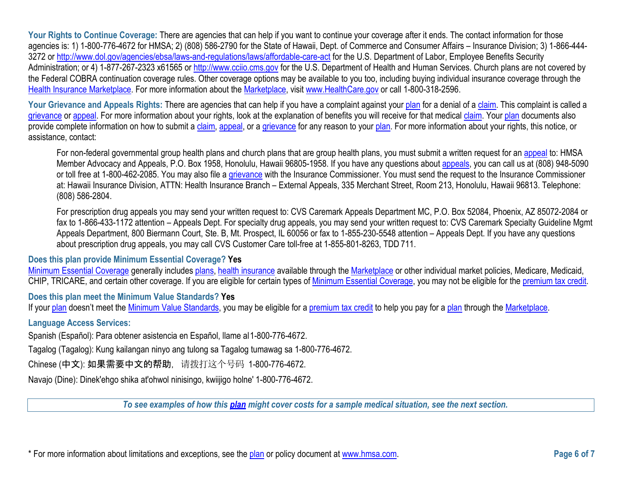**Your Rights to Continue Coverage:** There are agencies that can help if you want to continue your coverage after it ends. The contact information for those agencies is: 1) 1-800-776-4672 for HMSA; 2) (808) 586-2790 for the State of Hawaii, Dept. of Commerce and Consumer Affairs – Insurance Division; 3) 1-866-444 3272 or [http://www.dol.gov/agencies/ebsa/laws-and-regulations/laws/affordable-care-act f](http://www.dol.gov/agencies/ebsa/laws-and-regulations/laws/affordable-care-act)or the U.S. Department of Labor, Employee Benefits Security Administration; or 4) 1-877-267-2323 x61565 or [http://www.cciio.cms.gov f](http://www.cciio.cms.gov/)or the U.S. Department of Health and Human Services. Church plans are not covered by the Federal COBRA continuation coverage rules. Other coverage options may be available to you too, including buying individual insurance coverage through the [Health Insurance](https://www.healthcare.gov/sbc-glossary/#health-insurance) [Marketplace. F](https://www.healthcare.gov/sbc-glossary/#marketplace)or more information about the [Marketplace, v](https://www.healthcare.gov/sbc-glossary/#marketplace)isit [www.HealthCare.gov o](http://www.healthcare.gov/)r call 1-800-318-2596.

**Your Grievance and Appeals Rights:** There are agencies that can help if you have a complaint against your <u>plan</u> for a denial of a <u>claim</u>. This complaint is called a provide complete information on how to submit a [claim,](https://www.healthcare.gov/sbc-glossary/#claim) [appeal, o](https://www.healthcare.gov/sbc-glossary/#appeal)r a [grievance f](https://www.healthcare.gov/sbc-glossary/#grievance)or any reason to your [plan. F](https://www.healthcare.gov/sbc-glossary/#plan)or more information about your rights, this notice, or [grievance o](https://www.healthcare.gov/sbc-glossary/#grievance)r [appeal. F](https://www.healthcare.gov/sbc-glossary/#appeal)or more information about your rights, look at the explanation of benefits you will receive for that medica[l claim. Y](https://www.healthcare.gov/sbc-glossary/#claim)our [plan d](https://www.healthcare.gov/sbc-glossary/#plan)ocuments also assistance, contact:

Member Advocacy and Appeals, P.O. Box 1958, Honolulu, Hawaii 96805-1958. If you have any questions about <u>appeals</u>, you can call us at (808) 948-5090 For non-federal governmental group health plans and church plans that are group health plans, you must submit a written request for an [appeal t](https://www.healthcare.gov/sbc-glossary/#appeal)o: HMSA or toll free at 1-800-462-2085. You may also file a [grievance w](https://www.healthcare.gov/sbc-glossary/#grievance)ith the Insurance Commissioner. You must send the request to the Insurance Commissioner at: Hawaii Insurance Division, ATTN: Health Insurance Branch – External Appeals, 335 Merchant Street, Room 213, Honolulu, Hawaii 96813. Telephone: (808) 586-2804.

 about prescription drug appeals, you may call CVS Customer Care toll-free at 1-855-801-8263, TDD 711. For prescription drug appeals you may send your written request to: CVS Caremark Appeals Department MC, P.O. Box 52084, Phoenix, AZ 85072-2084 or fax to 1-866-433-1172 attention – Appeals Dept. For specialty drug appeals, you may send your written request to: CVS Caremark Specialty Guideline Mgmt Appeals Department, 800 Biermann Court, Ste. B, Mt. Prospect, IL 60056 or fax to 1-855-230-5548 attention – Appeals Dept. If you have any questions

# **Does this plan provide Minimum Essential Coverage? Yes**

[Minimum Essential Coverage g](https://www.healthcare.gov/sbc-glossary/#minimum-essential-coverage)enerally includes [plans,](https://www.healthcare.gov/sbc-glossary/#plan) [health insurance a](https://www.healthcare.gov/sbc-glossary/#health-insurance)vailable through the [Marketplace o](https://www.healthcare.gov/sbc-glossary/#marketplace)r other individual market policies, Medicare, Medicaid, CHIP, TRICARE, and certain other coverage. If you are eligible for certain types of [Minimum Essential Coverage, y](https://www.healthcare.gov/sbc-glossary/#minimum-essential-coverage)ou may not be eligible for the premium tax credit.

# **Does this plan meet the Minimum Value Standards? Yes**

If your [plan d](https://www.healthcare.gov/sbc-glossary/#plan)oesn't meet the [Minimum Value Standards, y](https://www.healthcare.gov/sbc-glossary/#minimum-value-standard)ou may be eligible for a [premium tax credit t](https://www.healthcare.gov/sbc-glossary/#premium-tax-credits)o help you pay for a [plan th](https://www.healthcare.gov/sbc-glossary/#plan)rough the Marketplace.

# **Language Access Services:**

Spanish (Español): Para obtener asistencia en Español, llame al1-800-776-4672.

Tagalog (Tagalog): Kung kailangan ninyo ang tulong sa Tagalog tumawag sa 1-800-776-4672.

Chinese (中文): 如果需要中文的帮助, 请拨打这个号码 1-800-776-4672.

Navajo (Dine): Dinek'ehgo shika at'ohwol ninisingo, kwiijigo holne' 1-800-776-4672.

*To see examples of how this [plan m](https://www.healthcare.gov/sbc-glossary/#plan)ight cover costs for a sample medical situation, see the next section.*